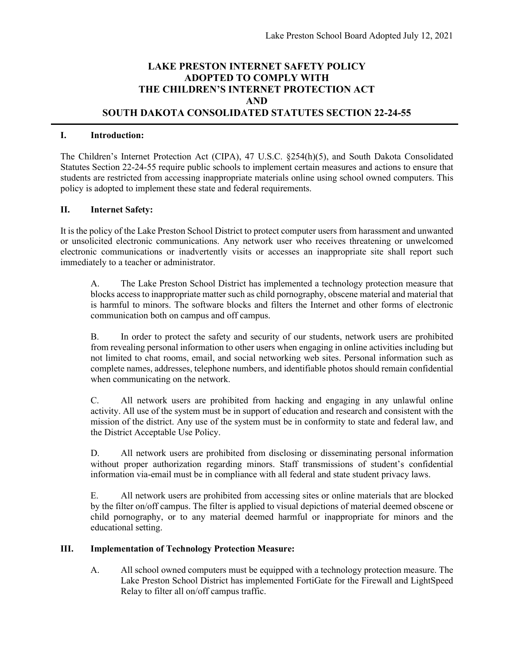## **LAKE PRESTON INTERNET SAFETY POLICY ADOPTED TO COMPLY WITH THE CHILDREN'S INTERNET PROTECTION ACT AND SOUTH DAKOTA CONSOLIDATED STATUTES SECTION 22-24-55**

#### **I. Introduction:**

The Children's Internet Protection Act (CIPA), 47 U.S.C. §254(h)(5), and South Dakota Consolidated Statutes Section 22-24-55 require public schools to implement certain measures and actions to ensure that students are restricted from accessing inappropriate materials online using school owned computers. This policy is adopted to implement these state and federal requirements.

### **II. Internet Safety:**

It is the policy of the Lake Preston School District to protect computer users from harassment and unwanted or unsolicited electronic communications. Any network user who receives threatening or unwelcomed electronic communications or inadvertently visits or accesses an inappropriate site shall report such immediately to a teacher or administrator.

A. The Lake Preston School District has implemented a technology protection measure that blocks access to inappropriate matter such as child pornography, obscene material and material that is harmful to minors. The software blocks and filters the Internet and other forms of electronic communication both on campus and off campus.

B. In order to protect the safety and security of our students, network users are prohibited from revealing personal information to other users when engaging in online activities including but not limited to chat rooms, email, and social networking web sites. Personal information such as complete names, addresses, telephone numbers, and identifiable photos should remain confidential when communicating on the network.

C. All network users are prohibited from hacking and engaging in any unlawful online activity. All use of the system must be in support of education and research and consistent with the mission of the district. Any use of the system must be in conformity to state and federal law, and the District Acceptable Use Policy.

D. All network users are prohibited from disclosing or disseminating personal information without proper authorization regarding minors. Staff transmissions of student's confidential information via-email must be in compliance with all federal and state student privacy laws.

E. All network users are prohibited from accessing sites or online materials that are blocked by the filter on/off campus. The filter is applied to visual depictions of material deemed obscene or child pornography, or to any material deemed harmful or inappropriate for minors and the educational setting.

### **III. Implementation of Technology Protection Measure:**

A. All school owned computers must be equipped with a technology protection measure. The Lake Preston School District has implemented FortiGate for the Firewall and LightSpeed Relay to filter all on/off campus traffic.